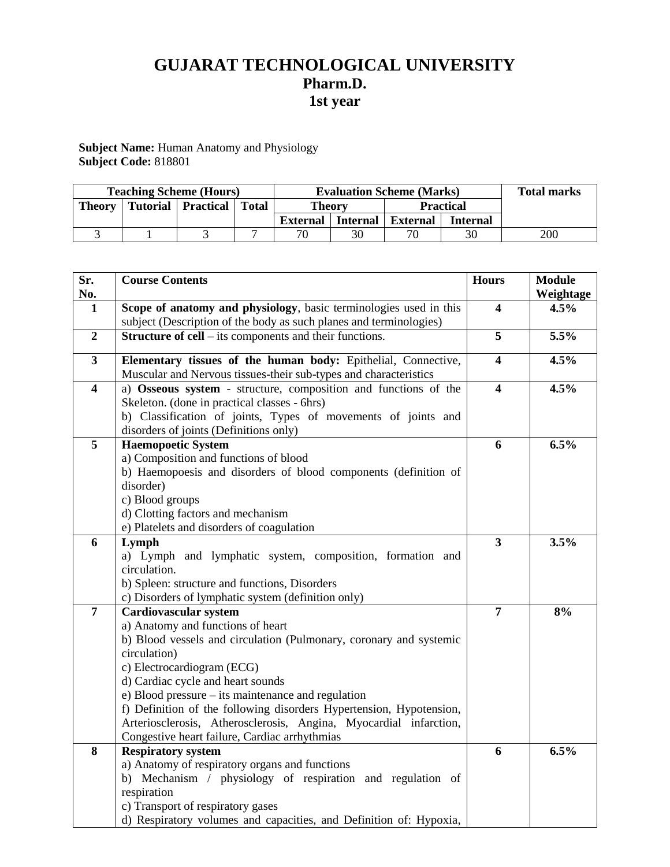# **GUJARAT TECHNOLOGICAL UNIVERSITY Pharm.D. 1st year**

**Subject Name:** Human Anatomy and Physiology **Subject Code:** 818801

| <b>Teaching Scheme (Hours)</b> |  |                      | <b>Evaluation Scheme (Marks)</b> |                 |                 |                  | <b>Total marks</b> |     |
|--------------------------------|--|----------------------|----------------------------------|-----------------|-----------------|------------------|--------------------|-----|
| <b>Theory</b>                  |  | Tutorial   Practical | <b>Total</b>                     | <b>Theory</b>   |                 | <b>Practical</b> |                    |     |
|                                |  |                      |                                  | <b>External</b> | <b>Internal</b> | <b>External</b>  | <b>Internal</b>    |     |
|                                |  |                      |                                  | 70              | 30              | 70               |                    | 200 |

| Sr.                     | <b>Course Contents</b>                                                                                                                  | <b>Hours</b>            | <b>Module</b> |
|-------------------------|-----------------------------------------------------------------------------------------------------------------------------------------|-------------------------|---------------|
| No.                     |                                                                                                                                         |                         | Weightage     |
| $\mathbf{1}$            | Scope of anatomy and physiology, basic terminologies used in this<br>subject (Description of the body as such planes and terminologies) |                         | 4.5%          |
| $\overline{2}$          | <b>Structure of cell</b> – its components and their functions.                                                                          | 5                       | 5.5%          |
| $\overline{\mathbf{3}}$ | Elementary tissues of the human body: Epithelial, Connective,                                                                           | 4                       | 4.5%          |
|                         | Muscular and Nervous tissues-their sub-types and characteristics                                                                        |                         |               |
| $\overline{\mathbf{4}}$ | a) Osseous system - structure, composition and functions of the                                                                         | 4                       | 4.5%          |
|                         | Skeleton. (done in practical classes - 6hrs)                                                                                            |                         |               |
|                         | b) Classification of joints, Types of movements of joints and                                                                           |                         |               |
|                         | disorders of joints (Definitions only)                                                                                                  |                         |               |
| 5                       | <b>Haemopoetic System</b>                                                                                                               | 6                       | 6.5%          |
|                         | a) Composition and functions of blood                                                                                                   |                         |               |
|                         | b) Haemopoesis and disorders of blood components (definition of                                                                         |                         |               |
|                         | disorder)                                                                                                                               |                         |               |
|                         | c) Blood groups                                                                                                                         |                         |               |
|                         | d) Clotting factors and mechanism                                                                                                       |                         |               |
|                         | e) Platelets and disorders of coagulation                                                                                               |                         |               |
| 6                       | Lymph                                                                                                                                   | $\overline{\mathbf{3}}$ | 3.5%          |
|                         | a) Lymph and lymphatic system, composition, formation and                                                                               |                         |               |
|                         | circulation.                                                                                                                            |                         |               |
|                         | b) Spleen: structure and functions, Disorders                                                                                           |                         |               |
|                         | c) Disorders of lymphatic system (definition only)                                                                                      |                         |               |
| $\overline{7}$          | <b>Cardiovascular system</b>                                                                                                            | $\overline{7}$          | 8%            |
|                         | a) Anatomy and functions of heart                                                                                                       |                         |               |
|                         | b) Blood vessels and circulation (Pulmonary, coronary and systemic                                                                      |                         |               |
|                         | circulation)                                                                                                                            |                         |               |
|                         | c) Electrocardiogram (ECG)                                                                                                              |                         |               |
|                         | d) Cardiac cycle and heart sounds                                                                                                       |                         |               |
|                         | e) Blood pressure – its maintenance and regulation                                                                                      |                         |               |
|                         | f) Definition of the following disorders Hypertension, Hypotension,                                                                     |                         |               |
|                         | Arteriosclerosis, Atherosclerosis, Angina, Myocardial infarction,                                                                       |                         |               |
|                         | Congestive heart failure, Cardiac arrhythmias                                                                                           |                         |               |
| 8                       | <b>Respiratory system</b>                                                                                                               | 6                       | 6.5%          |
|                         | a) Anatomy of respiratory organs and functions                                                                                          |                         |               |
|                         | b) Mechanism / physiology of respiration and regulation of                                                                              |                         |               |
|                         | respiration                                                                                                                             |                         |               |
|                         | c) Transport of respiratory gases                                                                                                       |                         |               |
|                         | d) Respiratory volumes and capacities, and Definition of: Hypoxia,                                                                      |                         |               |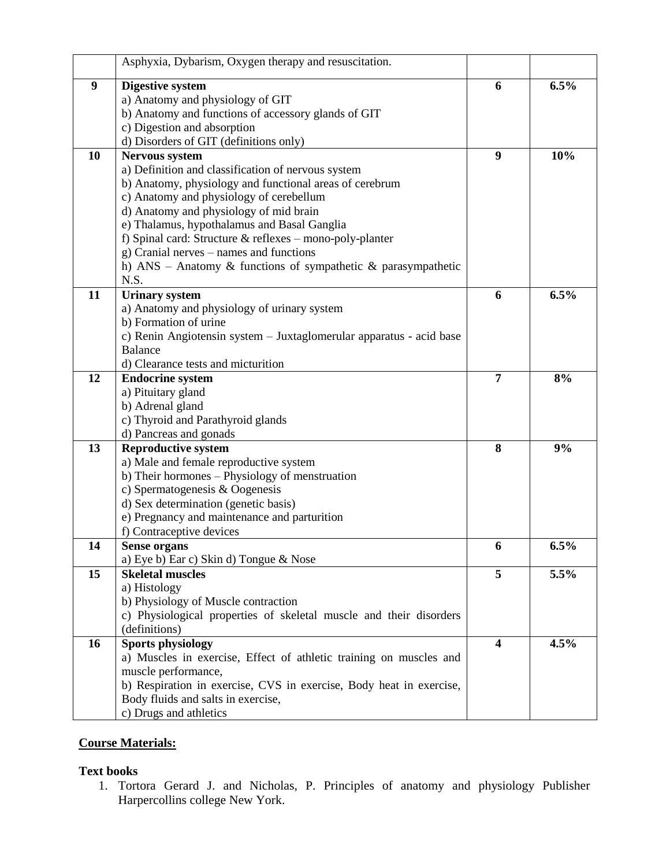|    | Asphyxia, Dybarism, Oxygen therapy and resuscitation.               |                         |      |
|----|---------------------------------------------------------------------|-------------------------|------|
| 9  | <b>Digestive system</b>                                             | 6                       | 6.5% |
|    | a) Anatomy and physiology of GIT                                    |                         |      |
|    | b) Anatomy and functions of accessory glands of GIT                 |                         |      |
|    | c) Digestion and absorption                                         |                         |      |
|    | d) Disorders of GIT (definitions only)                              |                         |      |
| 10 | Nervous system                                                      | 9                       | 10%  |
|    | a) Definition and classification of nervous system                  |                         |      |
|    | b) Anatomy, physiology and functional areas of cerebrum             |                         |      |
|    | c) Anatomy and physiology of cerebellum                             |                         |      |
|    | d) Anatomy and physiology of mid brain                              |                         |      |
|    | e) Thalamus, hypothalamus and Basal Ganglia                         |                         |      |
|    | f) Spinal card: Structure & reflexes - mono-poly-planter            |                         |      |
|    | g) Cranial nerves - names and functions                             |                         |      |
|    | h) ANS - Anatomy & functions of sympathetic & parasympathetic       |                         |      |
|    | N.S.                                                                |                         |      |
| 11 | <b>Urinary system</b>                                               | 6                       | 6.5% |
|    | a) Anatomy and physiology of urinary system                         |                         |      |
|    | b) Formation of urine                                               |                         |      |
|    | c) Renin Angiotensin system – Juxtaglomerular apparatus - acid base |                         |      |
|    | <b>Balance</b>                                                      |                         |      |
|    | d) Clearance tests and micturition                                  |                         |      |
| 12 | <b>Endocrine system</b>                                             | 7                       | 8%   |
|    | a) Pituitary gland                                                  |                         |      |
|    | b) Adrenal gland                                                    |                         |      |
|    | c) Thyroid and Parathyroid glands                                   |                         |      |
|    | d) Pancreas and gonads                                              |                         |      |
| 13 | <b>Reproductive system</b>                                          | 8                       | 9%   |
|    | a) Male and female reproductive system                              |                         |      |
|    | b) Their hormones – Physiology of menstruation                      |                         |      |
|    | c) Spermatogenesis & Oogenesis                                      |                         |      |
|    | d) Sex determination (genetic basis)                                |                         |      |
|    | e) Pregnancy and maintenance and parturition                        |                         |      |
|    | f) Contraceptive devices                                            |                         |      |
| 14 | Sense organs                                                        | 6                       | 6.5% |
|    | a) Eye b) Ear c) Skin d) Tongue & Nose                              |                         |      |
| 15 | <b>Skeletal muscles</b>                                             | 5                       | 5.5% |
|    | a) Histology                                                        |                         |      |
|    | b) Physiology of Muscle contraction                                 |                         |      |
|    | c) Physiological properties of skeletal muscle and their disorders  |                         |      |
|    | (definitions)                                                       |                         |      |
| 16 | <b>Sports physiology</b>                                            | $\overline{\mathbf{4}}$ | 4.5% |
|    | a) Muscles in exercise, Effect of athletic training on muscles and  |                         |      |
|    | muscle performance,                                                 |                         |      |
|    | b) Respiration in exercise, CVS in exercise, Body heat in exercise, |                         |      |
|    | Body fluids and salts in exercise,                                  |                         |      |
|    | c) Drugs and athletics                                              |                         |      |
|    |                                                                     |                         |      |

## **Course Materials:**

## **Text books**

1. Tortora Gerard J. and Nicholas, P. Principles of anatomy and physiology Publisher Harpercollins college New York.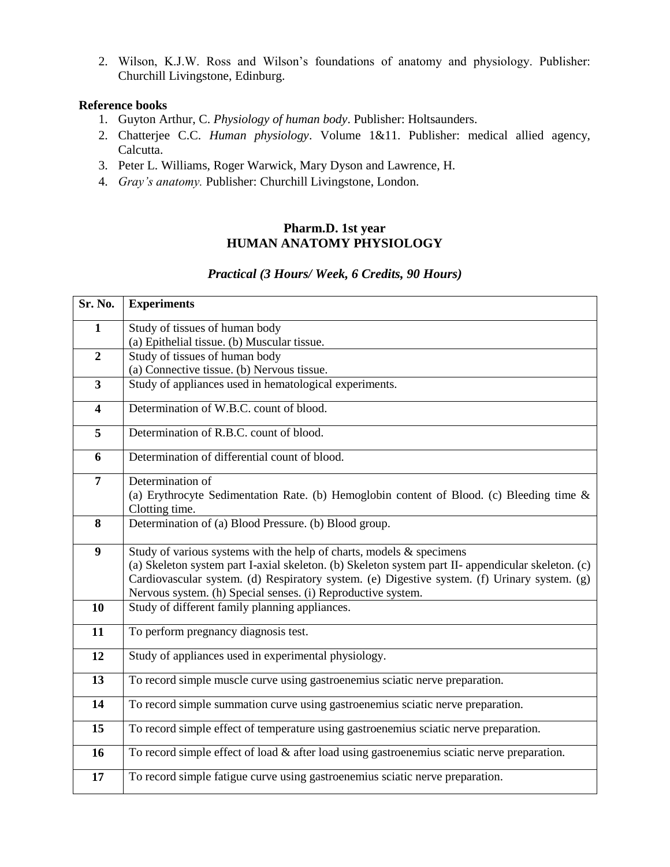2. Wilson, K.J.W. Ross and Wilson's foundations of anatomy and physiology. Publisher: Churchill Livingstone, Edinburg.

#### **Reference books**

- 1. Guyton Arthur, C. *Physiology of human body*. Publisher: Holtsaunders.
- 2. Chatterjee C.C. *Human physiology*. Volume 1&11. Publisher: medical allied agency, Calcutta.
- 3. Peter L. Williams, Roger Warwick, Mary Dyson and Lawrence, H.
- 4. *Gray's anatomy.* Publisher: Churchill Livingstone, London.

### **Pharm.D. 1st year HUMAN ANATOMY PHYSIOLOGY**

## *Practical (3 Hours/ Week, 6 Credits, 90 Hours)*

| Sr. No.                 | <b>Experiments</b>                                                                                |  |  |  |
|-------------------------|---------------------------------------------------------------------------------------------------|--|--|--|
| $\mathbf{1}$            | Study of tissues of human body                                                                    |  |  |  |
|                         | (a) Epithelial tissue. (b) Muscular tissue.                                                       |  |  |  |
| $\overline{2}$          | Study of tissues of human body                                                                    |  |  |  |
|                         | (a) Connective tissue. (b) Nervous tissue.                                                        |  |  |  |
| $\mathbf{3}$            | Study of appliances used in hematological experiments.                                            |  |  |  |
| $\overline{\mathbf{4}}$ | Determination of W.B.C. count of blood.                                                           |  |  |  |
| $\overline{5}$          | Determination of R.B.C. count of blood.                                                           |  |  |  |
| 6                       | Determination of differential count of blood.                                                     |  |  |  |
| $\overline{7}$          | Determination of                                                                                  |  |  |  |
|                         | (a) Erythrocyte Sedimentation Rate. (b) Hemoglobin content of Blood. (c) Bleeding time &          |  |  |  |
|                         | Clotting time.                                                                                    |  |  |  |
| 8                       | Determination of (a) Blood Pressure. (b) Blood group.                                             |  |  |  |
| 9                       | Study of various systems with the help of charts, models & specimens                              |  |  |  |
|                         | (a) Skeleton system part I-axial skeleton. (b) Skeleton system part II-appendicular skeleton. (c) |  |  |  |
|                         | Cardiovascular system. (d) Respiratory system. (e) Digestive system. (f) Urinary system. (g)      |  |  |  |
|                         | Nervous system. (h) Special senses. (i) Reproductive system.                                      |  |  |  |
| 10                      | Study of different family planning appliances.                                                    |  |  |  |
| 11                      | To perform pregnancy diagnosis test.                                                              |  |  |  |
| 12                      | Study of appliances used in experimental physiology.                                              |  |  |  |
| 13                      | To record simple muscle curve using gastroenemius sciatic nerve preparation.                      |  |  |  |
| 14                      | To record simple summation curve using gastroenemius sciatic nerve preparation.                   |  |  |  |
| 15                      | To record simple effect of temperature using gastroenemius sciatic nerve preparation.             |  |  |  |
| 16                      | To record simple effect of load & after load using gastroenemius sciatic nerve preparation.       |  |  |  |
| 17                      | To record simple fatigue curve using gastroenemius sciatic nerve preparation.                     |  |  |  |